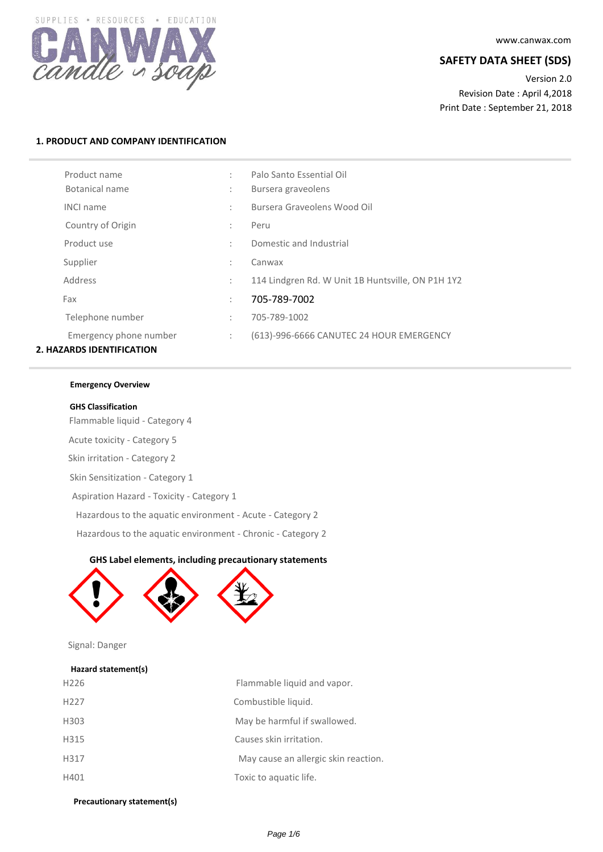

www.canwax.com

# **SAFETY DATA SHEET (SDS)**

Version 2.0 Revision Date : April 4,2018 Print Date : September 21, 2018

# **1. PRODUCT AND COMPANY IDENTIFICATION**

| Product name<br>Botanical name   | ÷<br>÷               | Palo Santo Essential Oil<br>Bursera graveolens    |
|----------------------------------|----------------------|---------------------------------------------------|
| <b>INCI name</b>                 | ÷                    | Bursera Graveolens Wood Oil                       |
| Country of Origin                | $\ddot{\phantom{a}}$ | Peru                                              |
| Product use                      | ÷                    | Domestic and Industrial                           |
| Supplier                         | ÷                    | Canwax                                            |
| Address                          | ÷                    | 114 Lindgren Rd. W Unit 1B Huntsville, ON P1H 1Y2 |
| Fax                              | ÷                    | 705-789-7002                                      |
| Telephone number                 | $\ddot{\phantom{a}}$ | 705-789-1002                                      |
| Emergency phone number           | $\ddot{\phantom{a}}$ | (613)-996-6666 CANUTEC 24 HOUR EMERGENCY          |
| <b>2. HAZARDS IDENTIFICATION</b> |                      |                                                   |

### **Emergency Overview**

#### **GHS Classification**

Flammable liquid - Category 4 Acute toxicity - Category 5 Skin irritation - Category 2 Skin Sensitization - Category 1 Aspiration Hazard - Toxicity - Category 1 Hazardous to the aquatic environment - Acute - Category 2 Hazardous to the aquatic environment - Chronic - Category 2

### **GHS Label elements, including precautionary statements**



Signal: Danger

### **Hazard statement(s)**

| H <sub>226</sub> | Flammable liquid and vapor.          |
|------------------|--------------------------------------|
| H <sub>227</sub> | Combustible liquid.                  |
| H303             | May be harmful if swallowed.         |
| H315             | Causes skin irritation.              |
| H317             | May cause an allergic skin reaction. |
| H401             | Toxic to aquatic life.               |

**Precautionary statement(s)**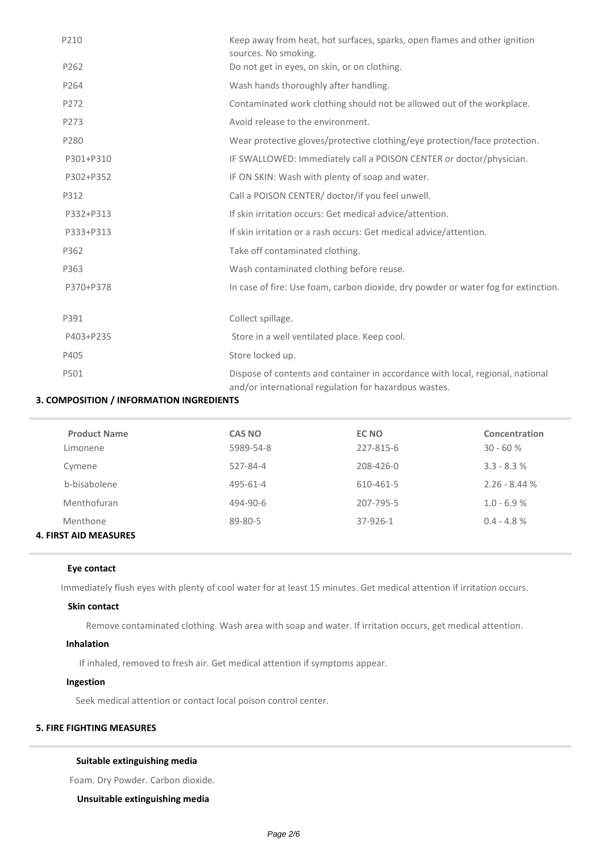| P210      | Keep away from heat, hot surfaces, sparks, open flames and other ignition<br>sources. No smoking.                                       |
|-----------|-----------------------------------------------------------------------------------------------------------------------------------------|
| P262      | Do not get in eyes, on skin, or on clothing.                                                                                            |
| P264      | Wash hands thoroughly after handling.                                                                                                   |
| P272      | Contaminated work clothing should not be allowed out of the workplace.                                                                  |
| P273      | Avoid release to the environment.                                                                                                       |
| P280      | Wear protective gloves/protective clothing/eye protection/face protection.                                                              |
| P301+P310 | IF SWALLOWED: Immediately call a POISON CENTER or doctor/physician.                                                                     |
| P302+P352 | IF ON SKIN: Wash with plenty of soap and water.                                                                                         |
| P312      | Call a POISON CENTER/ doctor/if you feel unwell.                                                                                        |
| P332+P313 | If skin irritation occurs: Get medical advice/attention.                                                                                |
| P333+P313 | If skin irritation or a rash occurs: Get medical advice/attention.                                                                      |
| P362      | Take off contaminated clothing.                                                                                                         |
| P363      | Wash contaminated clothing before reuse.                                                                                                |
| P370+P378 | In case of fire: Use foam, carbon dioxide, dry powder or water fog for extinction.                                                      |
| P391      | Collect spillage.                                                                                                                       |
| P403+P235 | Store in a well ventilated place. Keep cool.                                                                                            |
| P405      | Store locked up.                                                                                                                        |
| P501      | Dispose of contents and container in accordance with local, regional, national<br>and/or international regulation for hazardous wastes. |

# **3. COMPOSITION / INFORMATION INGREDIENTS**

| <b>Product Name</b>          | <b>CAS NO</b> | EC NO     | Concentration  |
|------------------------------|---------------|-----------|----------------|
| Limonene                     | 5989-54-8     | 227-815-6 | $30 - 60%$     |
| Cymene                       | 527-84-4      | 208-426-0 | $3.3 - 8.3 %$  |
| b-bisabolene                 | 495-61-4      | 610-461-5 | $2.26 - 8.44%$ |
| Menthofuran                  | 494-90-6      | 207-795-5 | $1.0 - 6.9 %$  |
| Menthone                     | 89-80-5       | 37-926-1  | $0.4 - 4.8 %$  |
| <b>4. FIRST AID MEASURES</b> |               |           |                |

# **Eye contact**

Immediately flush eyes with plenty of cool water for at least 15 minutes. Get medical attention if irritation occurs.

## **Skin contact**

Remove contaminated clothing. Wash area with soap and water. If irritation occurs, get medical attention.

# **Inhalation**

If inhaled, removed to fresh air. Get medical attention if symptoms appear.

# **Ingestion**

Seek medical attention or contact local poison control center.

# **5. FIRE FIGHTING MEASURES**

# **Suitable extinguishing media**

Foam. Dry Powder. Carbon dioxide.

**Unsuitable extinguishing media**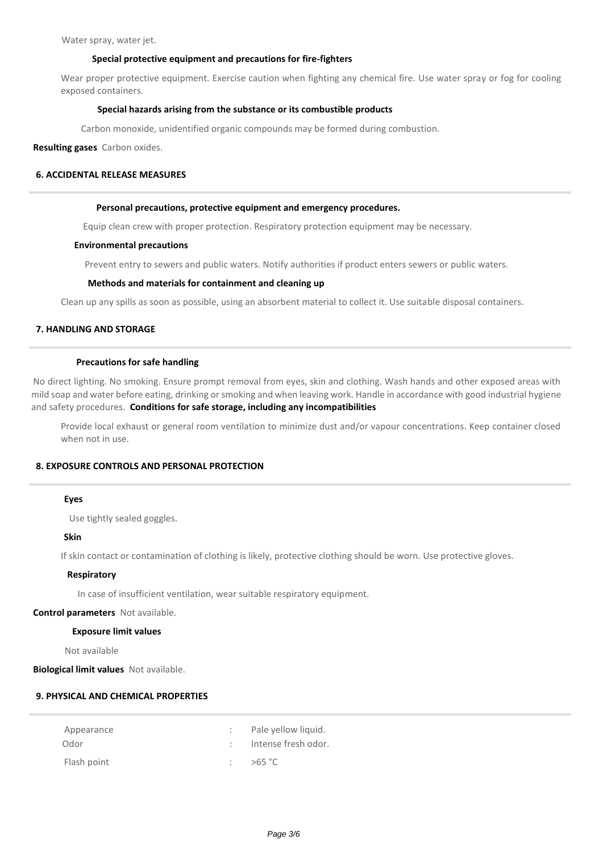Water spray, water jet.

#### **Special protective equipment and precautions for fire-fighters**

Wear proper protective equipment. Exercise caution when fighting any chemical fire. Use water spray or fog for cooling exposed containers.

#### **Special hazards arising from the substance or its combustible products**

Carbon monoxide, unidentified organic compounds may be formed during combustion.

**Resulting gases** Carbon oxides.

### **6. ACCIDENTAL RELEASE MEASURES**

#### **Personal precautions, protective equipment and emergency procedures.**

Equip clean crew with proper protection. Respiratory protection equipment may be necessary.

#### **Environmental precautions**

Prevent entry to sewers and public waters. Notify authorities if product enters sewers or public waters.

### **Methods and materials for containment and cleaning up**

Clean up any spills as soon as possible, using an absorbent material to collect it. Use suitable disposal containers.

# **7. HANDLING AND STORAGE**

#### **Precautions for safe handling**

No direct lighting. No smoking. Ensure prompt removal from eyes, skin and clothing. Wash hands and other exposed areas with mild soap and water before eating, drinking or smoking and when leaving work. Handle in accordance with good industrial hygiene and safety procedures. **Conditions for safe storage, including any incompatibilities**

Provide local exhaust or general room ventilation to minimize dust and/or vapour concentrations. Keep container closed when not in use.

### **8. EXPOSURE CONTROLS AND PERSONAL PROTECTION**

#### **Eyes**

Use tightly sealed goggles.

**Skin**

If skin contact or contamination of clothing is likely, protective clothing should be worn. Use protective gloves.

#### **Respiratory**

In case of insufficient ventilation, wear suitable respiratory equipment.

**Control parameters** Not available.

#### **Exposure limit values**

Not available

**Biological limit values** Not available.

# **9. PHYSICAL AND CHEMICAL PROPERTIES**

| Appearance  | : Pale yellow liquid. |
|-------------|-----------------------|
| Odor        | : Intense fresh odor. |
| Flash point | >65 °C                |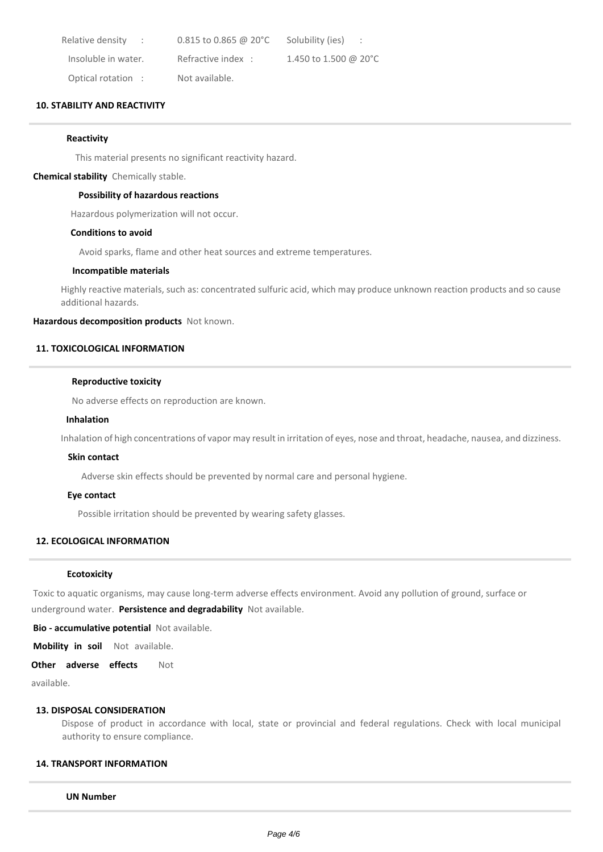| Relative density<br><b>Contract</b> | $0.815$ to 0.865 @ 20 $^{\circ}$ C | Solubility (ies)                 |
|-------------------------------------|------------------------------------|----------------------------------|
| Insoluble in water.                 | Refractive index:                  | 1.450 to 1.500 @ 20 $^{\circ}$ C |
| Optical rotation :                  | Not available.                     |                                  |

# **10. STABILITY AND REACTIVITY**

#### **Reactivity**

This material presents no significant reactivity hazard.

#### **Chemical stability** Chemically stable.

#### **Possibility of hazardous reactions**

Hazardous polymerization will not occur.

### **Conditions to avoid**

Avoid sparks, flame and other heat sources and extreme temperatures.

# **Incompatible materials**

Highly reactive materials, such as: concentrated sulfuric acid, which may produce unknown reaction products and so cause additional hazards.

**Hazardous decomposition products** Not known.

# **11. TOXICOLOGICAL INFORMATION**

#### **Reproductive toxicity**

No adverse effects on reproduction are known.

#### **Inhalation**

Inhalation of high concentrations of vapor may result in irritation of eyes, nose and throat, headache, nausea, and dizziness.

#### **Skin contact**

Adverse skin effects should be prevented by normal care and personal hygiene.

#### **Eye contact**

Possible irritation should be prevented by wearing safety glasses.

### **12. ECOLOGICAL INFORMATION**

#### **Ecotoxicity**

Toxic to aquatic organisms, may cause long-term adverse effects environment. Avoid any pollution of ground, surface or

underground water. **Persistence and degradability** Not available.

**Bio - accumulative potential** Not available.

**Mobility in soil** Not available.

### **Other adverse effects** Not

available.

#### **13. DISPOSAL CONSIDERATION**

Dispose of product in accordance with local, state or provincial and federal regulations. Check with local municipal authority to ensure compliance.

#### **14. TRANSPORT INFORMATION**

**UN Number**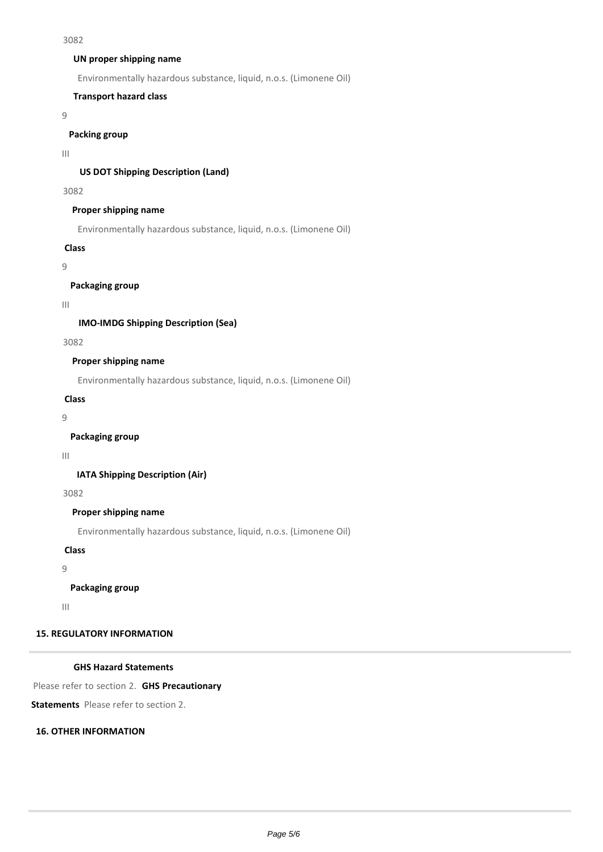#### 3082

### **UN proper shipping name**

Environmentally hazardous substance, liquid, n.o.s. (Limonene Oil)

# **Transport hazard class**

9

# **Packing group**

III

# **US DOT Shipping Description (Land)**

3082

# **Proper shipping name**

Environmentally hazardous substance, liquid, n.o.s. (Limonene Oil)

### **Class**

9

**Packaging group**

III

# **IMO-IMDG Shipping Description (Sea)**

3082

# **Proper shipping name**

Environmentally hazardous substance, liquid, n.o.s. (Limonene Oil)

# **Class**

9

# **Packaging group**

#### III

**IATA Shipping Description (Air)**

3082

# **Proper shipping name**

Environmentally hazardous substance, liquid, n.o.s. (Limonene Oil)

**Class**

9

# **Packaging group**

III

# **15. REGULATORY INFORMATION**

# **GHS Hazard Statements**

Please refer to section 2. **GHS Precautionary** 

**Statements** Please refer to section 2.

# **16. OTHER INFORMATION**